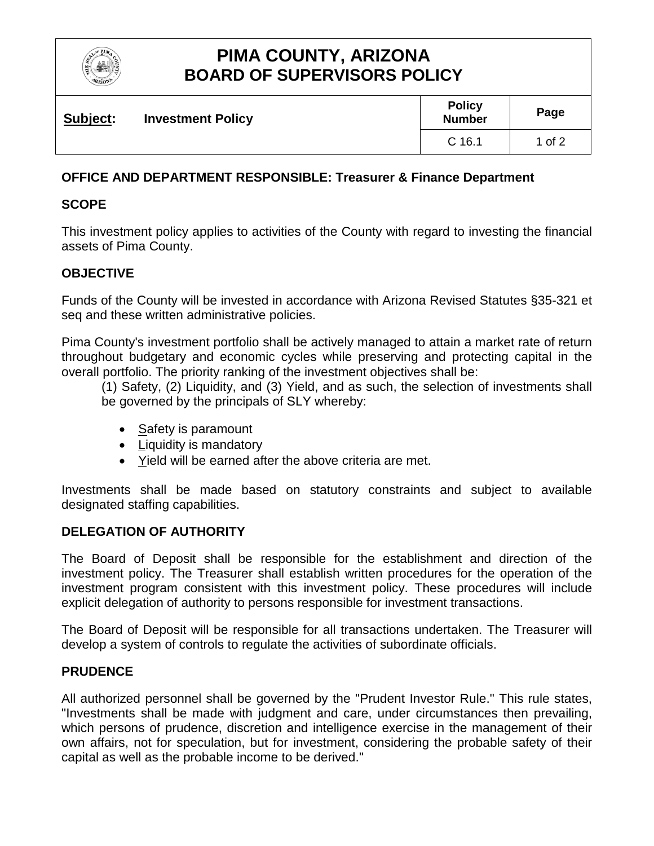

# **PIMA COUNTY, ARIZONA BOARD OF SUPERVISORS POLICY**

| Subject: | <b>Investment Policy</b> | <b>Policy</b><br><b>Number</b> | Page   |
|----------|--------------------------|--------------------------------|--------|
|          |                          | $C$ 16.1                       | 1 of 2 |

# **OFFICE AND DEPARTMENT RESPONSIBLE: Treasurer & Finance Department**

# **SCOPE**

This investment policy applies to activities of the County with regard to investing the financial assets of Pima County.

## **OBJECTIVE**

Funds of the County will be invested in accordance with Arizona Revised Statutes §35-321 et seq and these written administrative policies.

Pima County's investment portfolio shall be actively managed to attain a market rate of return throughout budgetary and economic cycles while preserving and protecting capital in the overall portfolio. The priority ranking of the investment objectives shall be:

(1) Safety, (2) Liquidity, and (3) Yield, and as such, the selection of investments shall be governed by the principals of SLY whereby:

- Safety is paramount
- Liquidity is mandatory
- Yield will be earned after the above criteria are met.

Investments shall be made based on statutory constraints and subject to available designated staffing capabilities.

## **DELEGATION OF AUTHORITY**

The Board of Deposit shall be responsible for the establishment and direction of the investment policy. The Treasurer shall establish written procedures for the operation of the investment program consistent with this investment policy. These procedures will include explicit delegation of authority to persons responsible for investment transactions.

The Board of Deposit will be responsible for all transactions undertaken. The Treasurer will develop a system of controls to regulate the activities of subordinate officials.

## **PRUDENCE**

All authorized personnel shall be governed by the "Prudent Investor Rule." This rule states, "Investments shall be made with judgment and care, under circumstances then prevailing, which persons of prudence, discretion and intelligence exercise in the management of their own affairs, not for speculation, but for investment, considering the probable safety of their capital as well as the probable income to be derived."